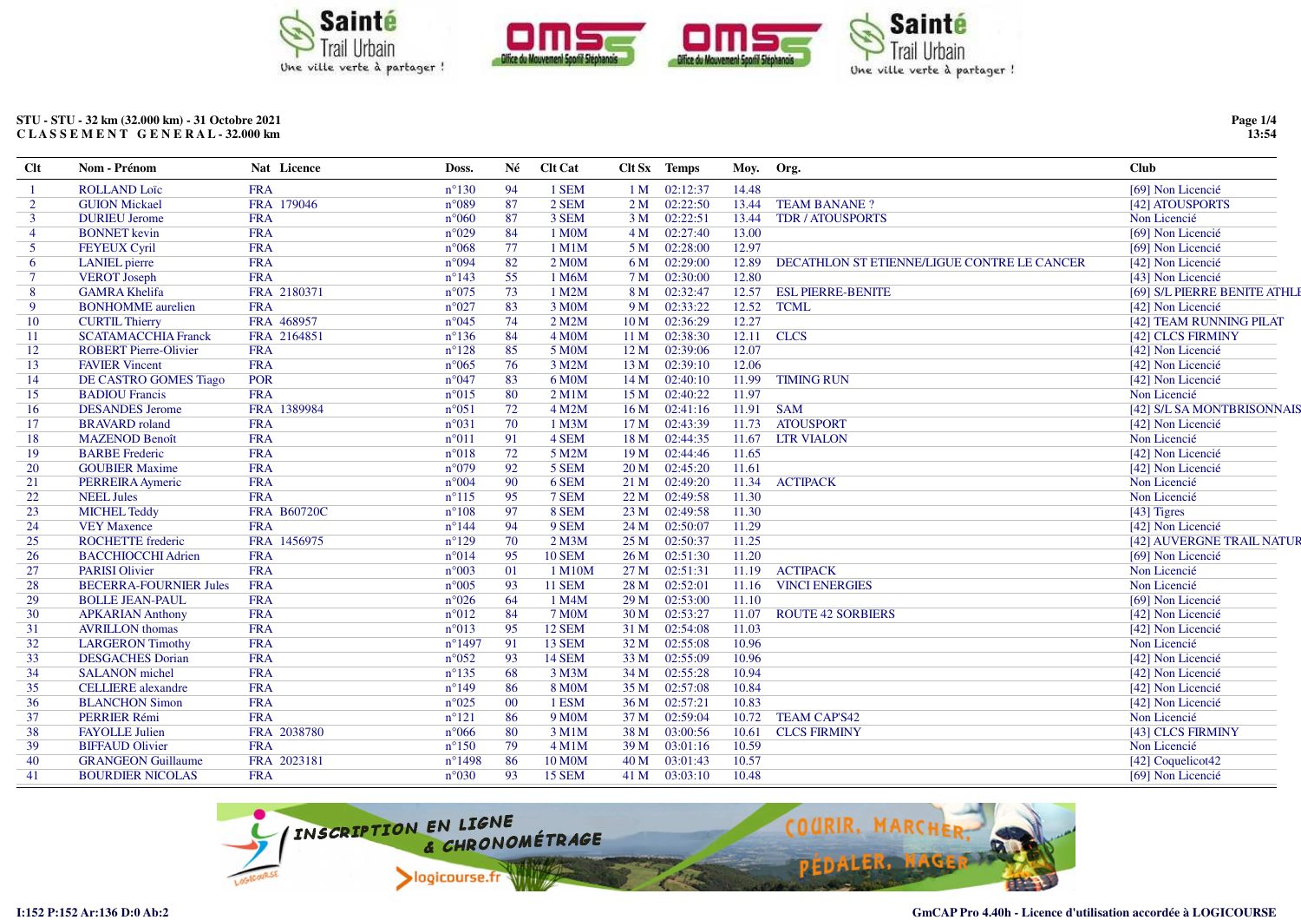

## STU - STU - 32 km (32.000 km) - 31 Octobre 2021 CLASSEMENT GENERAL-32.000 km

| $Cl$ t         | Nom - Prénom                  | Nat Licence        | Doss.            | Né     | <b>Clt Cat</b>      |                 | Clt Sx Temps | Moy.  | Org.                                        | <b>Club</b>                 |
|----------------|-------------------------------|--------------------|------------------|--------|---------------------|-----------------|--------------|-------|---------------------------------------------|-----------------------------|
|                | <b>ROLLAND Loïc</b>           | <b>FRA</b>         | $n^{\circ}130$   | 94     | 1 SEM               | 1 <sub>M</sub>  | 02:12:37     | 14.48 |                                             | [69] Non Licencié           |
| $\overline{2}$ | <b>GUION Mickael</b>          | FRA 179046         | $n^{\circ}089$   | 87     | 2 SEM               | 2 <sub>M</sub>  | 02:22:50     | 13.44 | <b>TEAM BANANE?</b>                         | [42] ATOUSPORTS             |
| $\mathbf{3}$   | <b>DURIEU Jerome</b>          | <b>FRA</b>         | $n^{\circ}060$   | 87     | 3 SEM               | 3 <sub>M</sub>  | 02:22:51     | 13.44 | <b>TDR / ATOUSPORTS</b>                     | Non Licencié                |
| $\overline{4}$ | <b>BONNET</b> kevin           | <b>FRA</b>         | $n^{\circ}029$   | 84     | 1 M0M               | 4M              | 02:27:40     | 13.00 |                                             | [69] Non Licencié           |
| 5              | <b>FEYEUX Cyril</b>           | <b>FRA</b>         | $n^{\circ}068$   | 77     | 1 M1M               | 5 M             | 02:28:00     | 12.97 |                                             | [69] Non Licencié           |
| -6             | <b>LANIEL</b> pierre          | <b>FRA</b>         | $n^{\circ}094$   | 82     | 2 M <sub>0</sub> M  | 6 M             | 02:29:00     | 12.89 | DECATHLON ST ETIENNE/LIGUE CONTRE LE CANCER | [42] Non Licencié           |
| $\overline{7}$ | <b>VEROT</b> Joseph           | <b>FRA</b>         | $n^{\circ}143$   | 55     | 1 M6M               | 7 M             | 02:30:00     | 12.80 |                                             | [43] Non Licencié           |
| 8              | <b>GAMRA Khelifa</b>          | FRA 2180371        | $n^{\circ}075$   | 73     | 1 M2M               | 8 M             | 02:32:47     | 12.57 | <b>ESL PIERRE-BENITE</b>                    | [69] S/L PIERRE BENITE ATHL |
| 9              | <b>BONHOMME</b> aurelien      | <b>FRA</b>         | $n^{\circ}027$   | 83     | 3 M0M               | 9 M             | 02:33:22     | 12.52 | <b>TCML</b>                                 | [42] Non Licencié           |
| 10             | <b>CURTIL Thierry</b>         | FRA 468957         | $n^{\circ}045$   | 74     | 2 M2M               | 10 <sub>M</sub> | 02:36:29     | 12.27 |                                             | [42] TEAM RUNNING PILAT     |
| 11             | <b>SCATAMACCHIA Franck</b>    | FRA 2164851        | $n^{\circ}136$   | 84     | 4 M <sub>O</sub> M  | 11 <sub>M</sub> | 02:38:30     | 12.11 | <b>CLCS</b>                                 | [42] CLCS FIRMINY           |
| 12             | <b>ROBERT Pierre-Olivier</b>  | <b>FRA</b>         | $n^{\circ}128$   | 85     | 5 M0M               | 12 M            | 02:39:06     | 12.07 |                                             | [42] Non Licencié           |
| 13             | <b>FAVIER Vincent</b>         | <b>FRA</b>         | $n^{\circ}065$   | 76     | 3 M2M               | 13M             | 02:39:10     | 12.06 |                                             | [42] Non Licencié           |
| 14             | DE CASTRO GOMES Tiago         | <b>POR</b>         | $n^{\circ}047$   | 83     | 6 M <sub>0</sub> M  | 14M             | 02:40:10     | 11.99 | <b>TIMING RUN</b>                           | [42] Non Licencié           |
| 15             | <b>BADIOU Francis</b>         | <b>FRA</b>         | $n^{\circ}015$   | 80     | 2 M1M               | 15 M            | 02:40:22     | 11.97 |                                             | Non Licencié                |
| 16             | <b>DESANDES</b> Jerome        | FRA 1389984        | $n^{\circ}051$   | 72     | 4 M2M               | 16 <sub>M</sub> | 02:41:16     | 11.91 | <b>SAM</b>                                  | [42] S/L SA MONTBRISONNAI   |
| 17             | <b>BRAVARD</b> roland         | <b>FRA</b>         | $n^{\circ}031$   | 70     | 1 M3M               | 17 <sub>M</sub> | 02:43:39     | 11.73 | <b>ATOUSPORT</b>                            | [42] Non Licencié           |
| 18             | <b>MAZENOD Benoît</b>         | <b>FRA</b>         | $n^{\circ}011$   | 91     | 4 SEM               | 18 M            | 02:44:35     | 11.67 | <b>LTR VIALON</b>                           | Non Licencié                |
| 19             | <b>BARBE</b> Frederic         | <b>FRA</b>         | $n^{\circ}018$   | 72     | 5 M2M               | 19 <sub>M</sub> | 02:44:46     | 11.65 |                                             | [42] Non Licencié           |
| <b>20</b>      | <b>GOUBIER Maxime</b>         | <b>FRA</b>         | $n^{\circ}079$   | 92     | 5 SEM               | 20 <sub>M</sub> | 02:45:20     | 11.61 |                                             | [42] Non Licencié           |
| 21             | PERREIRA Aymeric              | <b>FRA</b>         | $n^{\circ}004$   | 90     | 6 SEM               | 21 M            | 02:49:20     | 11.34 | <b>ACTIPACK</b>                             | Non Licencié                |
| 22             | <b>NEEL Jules</b>             | <b>FRA</b>         | $n^{\circ}115$   | 95     | 7 SEM               | 22 M            | 02:49:58     | 11.30 |                                             | Non Licencié                |
| 23             | <b>MICHEL Teddy</b>           | <b>FRA B60720C</b> | $n^{\circ}108$   | 97     | 8 SEM               | 23 M            | 02:49:58     | 11.30 |                                             | $[43]$ Tigres               |
| 24             | <b>VEY Maxence</b>            | <b>FRA</b>         | $n^{\circ}$ 144  | 94     | 9 SEM               | 24 M            | 02:50:07     | 11.29 |                                             | [42] Non Licencié           |
| 25             | <b>ROCHETTE</b> frederic      | FRA 1456975        | $n^{\circ}129$   | 70     | $2$ M $3$ M         | 25 M            | 02:50:37     | 11.25 |                                             | [42] AUVERGNE TRAIL NATU    |
| 26             | <b>BACCHIOCCHI Adrien</b>     | <b>FRA</b>         | $n^{\circ}014$   | 95     | <b>10 SEM</b>       | 26 M            | 02:51:30     | 11.20 |                                             | [69] Non Licencié           |
| 27             | <b>PARISI Olivier</b>         | <b>FRA</b>         | $n^{\circ}003$   | 01     | 1 M10M              | 27 M            | 02:51:31     | 11.19 | <b>ACTIPACK</b>                             | Non Licencié                |
| 28             | <b>BECERRA-FOURNIER Jules</b> | <b>FRA</b>         | $n^{\circ}005$   | 93     | <b>11 SEM</b>       | 28 M            | 02:52:01     | 11.16 | <b>VINCI ENERGIES</b>                       | Non Licencié                |
| 29             | <b>BOLLE JEAN-PAUL</b>        | <b>FRA</b>         | $n^{\circ}026$   | 64     | 1 M4M               | 29 <sub>M</sub> | 02:53:00     | 11.10 |                                             | [69] Non Licencié           |
| 30             | <b>APKARIAN Anthony</b>       | <b>FRA</b>         | $n^{\circ}012$   | 84     | <b>7 M0M</b>        | 30 M            | 02:53:27     | 11.07 | <b>ROUTE 42 SORBIERS</b>                    | [42] Non Licencié           |
| 31             | <b>AVRILLON</b> thomas        | <b>FRA</b>         | $n^{\circ}013$   | 95     | <b>12 SEM</b>       | 31 M            | 02:54:08     | 11.03 |                                             | [42] Non Licencié           |
| 32             | <b>LARGERON Timothy</b>       | <b>FRA</b>         | $n^{\circ}$ 1497 | 91     | 13 SEM              | 32 M            | 02:55:08     | 10.96 |                                             | Non Licencié                |
| 33             | <b>DESGACHES Dorian</b>       | <b>FRA</b>         | $n^{\circ}052$   | 93     | <b>14 SEM</b>       | 33 M            | 02:55:09     | 10.96 |                                             | [42] Non Licencié           |
| 34             | <b>SALANON</b> michel         | <b>FRA</b>         | $n^{\circ}135$   | 68     | 3 M3M               | 34 M            | 02:55:28     | 10.94 |                                             | [42] Non Licencié           |
| 35             | <b>CELLIERE</b> alexandre     | <b>FRA</b>         | $n^{\circ}149$   | 86     | <b>8 MOM</b>        | 35 M            | 02:57:08     | 10.84 |                                             | [42] Non Licencié           |
| 36             | <b>BLANCHON Simon</b>         | <b>FRA</b>         | $n^{\circ}025$   | $00\,$ | 1 ESM               | 36 M            | 02:57:21     | 10.83 |                                             | [42] Non Licencié           |
| 37             | <b>PERRIER Rémi</b>           | <b>FRA</b>         | $n^{\circ}121$   | 86     | 9 M <sub>0</sub> M  | 37 M            | 02:59:04     | 10.72 | <b>TEAM CAP'S42</b>                         | Non Licencié                |
| 38             | <b>FAYOLLE Julien</b>         | FRA 2038780        | $n^{\circ}066$   | 80     | 3 M1M               | 38 M            | 03:00:56     | 10.61 | <b>CLCS FIRMINY</b>                         | [43] CLCS FIRMINY           |
| 39             | <b>BIFFAUD Olivier</b>        | <b>FRA</b>         | $n^{\circ}150$   | 79     | 4 M1M               | 39 M            | 03:01:16     | 10.59 |                                             | Non Licencié                |
| 40             | <b>GRANGEON Guillaume</b>     | FRA 2023181        | $n^{\circ}$ 1498 | 86     | 10 M <sub>O</sub> M | 40 M            | 03:01:43     | 10.57 |                                             | [42] Coquelicot42           |
| 41             | <b>BOURDIER NICOLAS</b>       | <b>FRA</b>         | $n^{\circ}030$   | 93     | <b>15 SEM</b>       | 41 M            | 03:03:10     | 10.48 |                                             | [69] Non Licencié           |



Page 1/4<br>13:54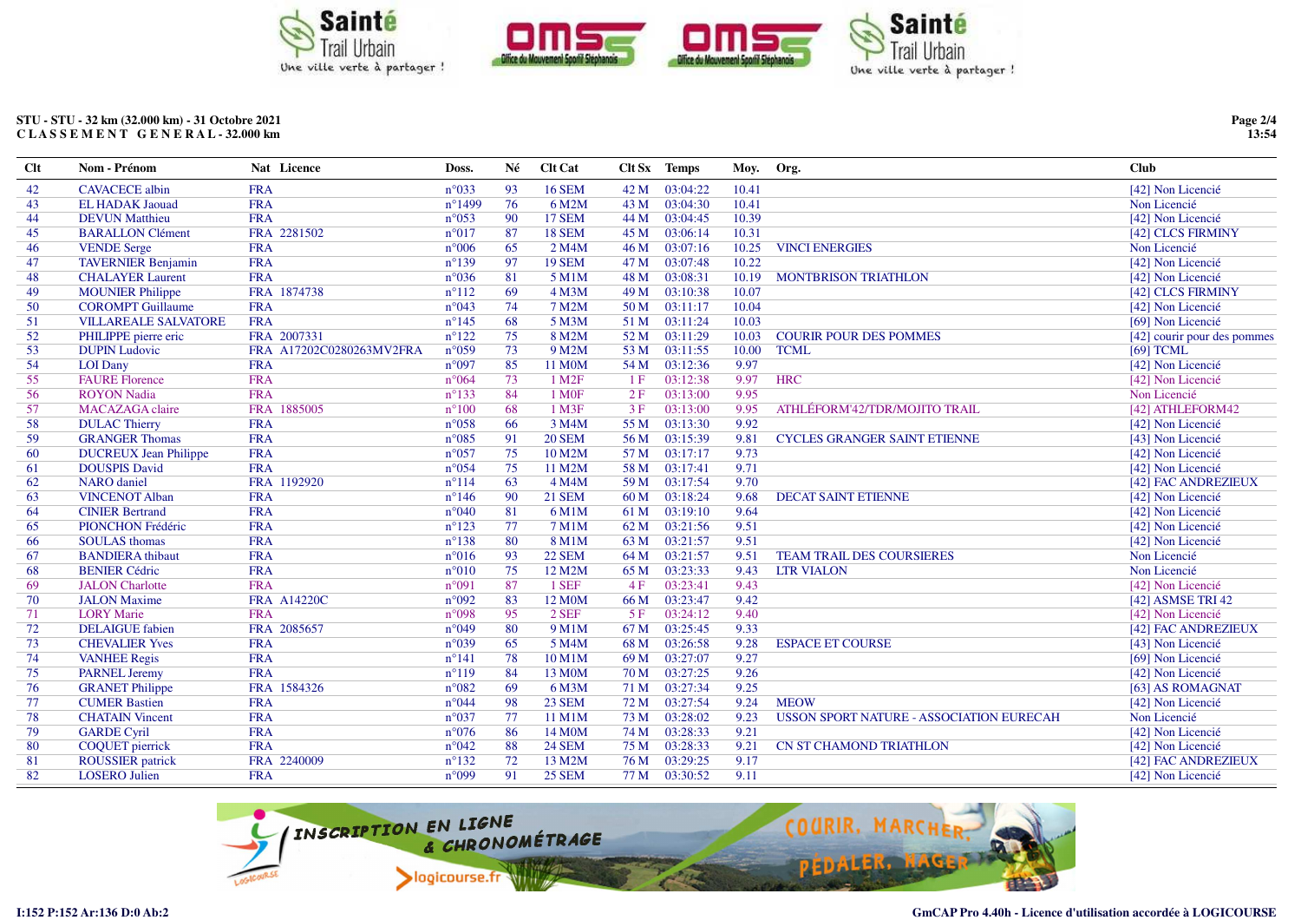

STU - STU - 32 km (32.000 km) - 31 Octobre 2021 CLASSEMENT GENERAL-32.000 km

| <b>Clt</b> | Nom - Prénom                 | Nat Licence              | Doss.            | Né | <b>Clt Cat</b>     |      | Clt Sx Temps  | Moy.  | Org.                                     | <b>Club</b>                 |
|------------|------------------------------|--------------------------|------------------|----|--------------------|------|---------------|-------|------------------------------------------|-----------------------------|
| 42         | <b>CAVACECE</b> albin        | <b>FRA</b>               | $n^{\circ}033$   | 93 | <b>16 SEM</b>      | 42 M | 03:04:22      | 10.41 |                                          | [42] Non Licencié           |
| 43         | <b>EL HADAK Jaouad</b>       | <b>FRA</b>               | $n^{\circ}$ 1499 | 76 | 6 M2M              | 43 M | 03:04:30      | 10.41 |                                          | Non Licencié                |
| 44         | <b>DEVUN Matthieu</b>        | <b>FRA</b>               | $n^{\circ}053$   | 90 | <b>17 SEM</b>      | 44 M | 03:04:45      | 10.39 |                                          | [42] Non Licencié           |
| 45         | <b>BARALLON Clément</b>      | FRA 2281502              | $n^{\circ}017$   | 87 | 18 SEM             | 45 M | 03:06:14      | 10.31 |                                          | [42] CLCS FIRMINY           |
| 46         | <b>VENDE</b> Serge           | <b>FRA</b>               | $n^{\circ}006$   | 65 | 2 M4M              | 46 M | 03:07:16      | 10.25 | <b>VINCI ENERGIES</b>                    | Non Licencié                |
| 47         | <b>TAVERNIER Benjamin</b>    | <b>FRA</b>               | $n^{\circ}139$   | 97 | <b>19 SEM</b>      | 47 M | 03:07:48      | 10.22 |                                          | [42] Non Licencié           |
| 48         | <b>CHALAYER Laurent</b>      | <b>FRA</b>               | $n^{\circ}036$   | 81 | 5 M1M              | 48 M | 03:08:31      | 10.19 | <b>MONTBRISON TRIATHLON</b>              | [42] Non Licencié           |
| 49         | <b>MOUNIER Philippe</b>      | FRA 1874738              | $n^{\circ}112$   | 69 | 4 M3M              | 49 M | 03:10:38      | 10.07 |                                          | [42] CLCS FIRMINY           |
| 50         | <b>COROMPT</b> Guillaume     | <b>FRA</b>               | $n^{\circ}043$   | 74 | 7 M2M              | 50 M | 03:11:17      | 10.04 |                                          | [42] Non Licencié           |
| 51         | <b>VILLAREALE SALVATORE</b>  | <b>FRA</b>               | $n^{\circ}145$   | 68 | 5 M3M              | 51 M | 03:11:24      | 10.03 |                                          | [69] Non Licencié           |
| 52         | PHILIPPE pierre eric         | FRA 2007331              | $n^{\circ}122$   | 75 | 8 M2M              | 52 M | 03:11:29      | 10.03 | <b>COURIR POUR DES POMMES</b>            | [42] courir pour des pommes |
| 53         | <b>DUPIN Ludovic</b>         | FRA A17202C0280263MV2FRA | $n^{\circ}059$   | 73 | 9 M2M              | 53 M | 03:11:55      | 10.00 | <b>TCML</b>                              | $[69]$ TCML                 |
| 54         | <b>LOI</b> Dany              | <b>FRA</b>               | n°097            | 85 | 11 M0M             | 54 M | 03:12:36      | 9.97  |                                          | [42] Non Licencié           |
| 55         | <b>FAURE Florence</b>        | <b>FRA</b>               | $n^{\circ}064$   | 73 | 1 M <sub>2</sub> F | 1F   | 03:12:38      | 9.97  | <b>HRC</b>                               | [42] Non Licencié           |
| 56         | <b>ROYON</b> Nadia           | <b>FRA</b>               | $n^{\circ}133$   | 84 | 1 M <sub>OF</sub>  | 2F   | 03:13:00      | 9.95  |                                          | Non Licencié                |
| 57         | <b>MACAZAGA</b> claire       | FRA 1885005              | $n^{\circ}100$   | 68 | 1 M3F              | 3F   | 03:13:00      | 9.95  | ATHLÉFORM'42/TDR/MOJITO TRAIL            | [42] ATHLEFORM42            |
| 58         | <b>DULAC Thierry</b>         | <b>FRA</b>               | $n^{\circ}058$   | 66 | 3 M4M              | 55 M | 03:13:30      | 9.92  |                                          | [42] Non Licencié           |
| 59         | <b>GRANGER Thomas</b>        | <b>FRA</b>               | $n^{\circ}085$   | 91 | <b>20 SEM</b>      | 56 M | 03:15:39      | 9.81  | <b>CYCLES GRANGER SAINT ETIENNE</b>      | [43] Non Licencié           |
| 60         | <b>DUCREUX Jean Philippe</b> | <b>FRA</b>               | $n^{\circ}057$   | 75 | 10 M2M             | 57 M | 03:17:17      | 9.73  |                                          | [42] Non Licencié           |
| 61         | <b>DOUSPIS David</b>         | <b>FRA</b>               | $n^{\circ}054$   | 75 | 11 M2M             | 58 M | 03:17:41      | 9.71  |                                          | [42] Non Licencié           |
| 62         | <b>NARO</b> daniel           | FRA 1192920              | $n^{\circ}114$   | 63 | 4 M4M              | 59 M | 03:17:54      | 9.70  |                                          | [42] FAC ANDREZIEUX         |
| 63         | <b>VINCENOT Alban</b>        | <b>FRA</b>               | $n^{\circ}146$   | 90 | <b>21 SEM</b>      | 60 M | 03:18:24      | 9.68  | <b>DECAT SAINT ETIENNE</b>               | [42] Non Licencié           |
| 64         | <b>CINIER Bertrand</b>       | <b>FRA</b>               | $n^{\circ}040$   | 81 | 6 M1M              | 61 M | 03:19:10      | 9.64  |                                          | [42] Non Licencié           |
| 65         | PIONCHON Frédéric            | <b>FRA</b>               | $n^{\circ}123$   | 77 | 7 M1M              | 62 M | 03:21:56      | 9.51  |                                          | [42] Non Licencié           |
| 66         | <b>SOULAS</b> thomas         | <b>FRA</b>               | $n^{\circ}138$   | 80 | 8 M1M              | 63 M | 03:21:57      | 9.51  |                                          | [42] Non Licencié           |
| 67         | <b>BANDIERA</b> thibaut      | <b>FRA</b>               | $n^{\circ}016$   | 93 | <b>22 SEM</b>      | 64 M | 03:21:57      | 9.51  | <b>TEAM TRAIL DES COURSIERES</b>         | Non Licencié                |
| 68         | <b>BENIER Cédric</b>         | <b>FRA</b>               | $n^{\circ}010$   | 75 | 12 M2M             | 65 M | 03:23:33      | 9.43  | <b>LTR VIALON</b>                        | Non Licencié                |
| 69         | <b>JALON</b> Charlotte       | <b>FRA</b>               | n°091            | 87 | 1 SEF              | 4F   | 03:23:41      | 9.43  |                                          | [42] Non Licencié           |
| 70         | <b>JALON</b> Maxime          | <b>FRA A14220C</b>       | n°092            | 83 | 12 M0M             | 66 M | 03:23:47      | 9.42  |                                          | [42] ASMSE TRI 42           |
| 71         | <b>LORY</b> Marie            | <b>FRA</b>               | n°098            | 95 | 2 SEF              | 5F   | 03:24:12      | 9.40  |                                          | [42] Non Licencié           |
| 72         | <b>DELAIGUE</b> fabien       | FRA 2085657              | $n^{\circ}049$   | 80 | 9 M1M              | 67 M | 03:25:45      | 9.33  |                                          | [42] FAC ANDREZIEUX         |
| 73         | <b>CHEVALIER Yves</b>        | <b>FRA</b>               | n°039            | 65 | 5 M4M              | 68 M | 03:26:58      | 9.28  | <b>ESPACE ET COURSE</b>                  | [43] Non Licencié           |
| 74         | <b>VANHEE Regis</b>          | <b>FRA</b>               | $n^{\circ}141$   | 78 | 10 M1M             | 69 M | 03:27:07      | 9.27  |                                          | [69] Non Licencié           |
| 75         | <b>PARNEL Jeremy</b>         | <b>FRA</b>               | $n^{\circ}119$   | 84 | 13 M0M             | 70 M | 03:27:25      | 9.26  |                                          | [42] Non Licencié           |
| 76         | <b>GRANET Philippe</b>       | FRA 1584326              | $n^{\circ}082$   | 69 | 6 M3M              | 71 M | 03:27:34      | 9.25  |                                          | [63] AS ROMAGNAT            |
| 77         | <b>CUMER Bastien</b>         | <b>FRA</b>               | $n^{\circ}044$   | 98 | <b>23 SEM</b>      | 72 M | 03:27:54      | 9.24  | <b>MEOW</b>                              | [42] Non Licencié           |
| 78         | <b>CHATAIN Vincent</b>       | <b>FRA</b>               | $n^{\circ}037$   | 77 | 11 M1M             | 73 M | 03:28:02      | 9.23  | USSON SPORT NATURE - ASSOCIATION EURECAH | Non Licencié                |
| 79         | <b>GARDE Cyril</b>           | <b>FRA</b>               | $n^{\circ}076$   | 86 | 14 M0M             | 74 M | 03:28:33      | 9.21  |                                          | [42] Non Licencié           |
| 80         | <b>COQUET</b> pierrick       | <b>FRA</b>               | $n^{\circ}042$   | 88 | <b>24 SEM</b>      | 75 M | 03:28:33      | 9.21  | <b>CN ST CHAMOND TRIATHLON</b>           | [42] Non Licencié           |
| 81         | <b>ROUSSIER</b> patrick      | FRA 2240009              | $n^{\circ}132$   | 72 | 13 M2M             | 76 M | 03:29:25      | 9.17  |                                          | [42] FAC ANDREZIEUX         |
| 82         | <b>LOSERO</b> Julien         | <b>FRA</b>               | n°099            | 91 | <b>25 SEM</b>      |      | 77 M 03:30:52 | 9.11  |                                          | [42] Non Licencié           |



Page 2/4<br>13:54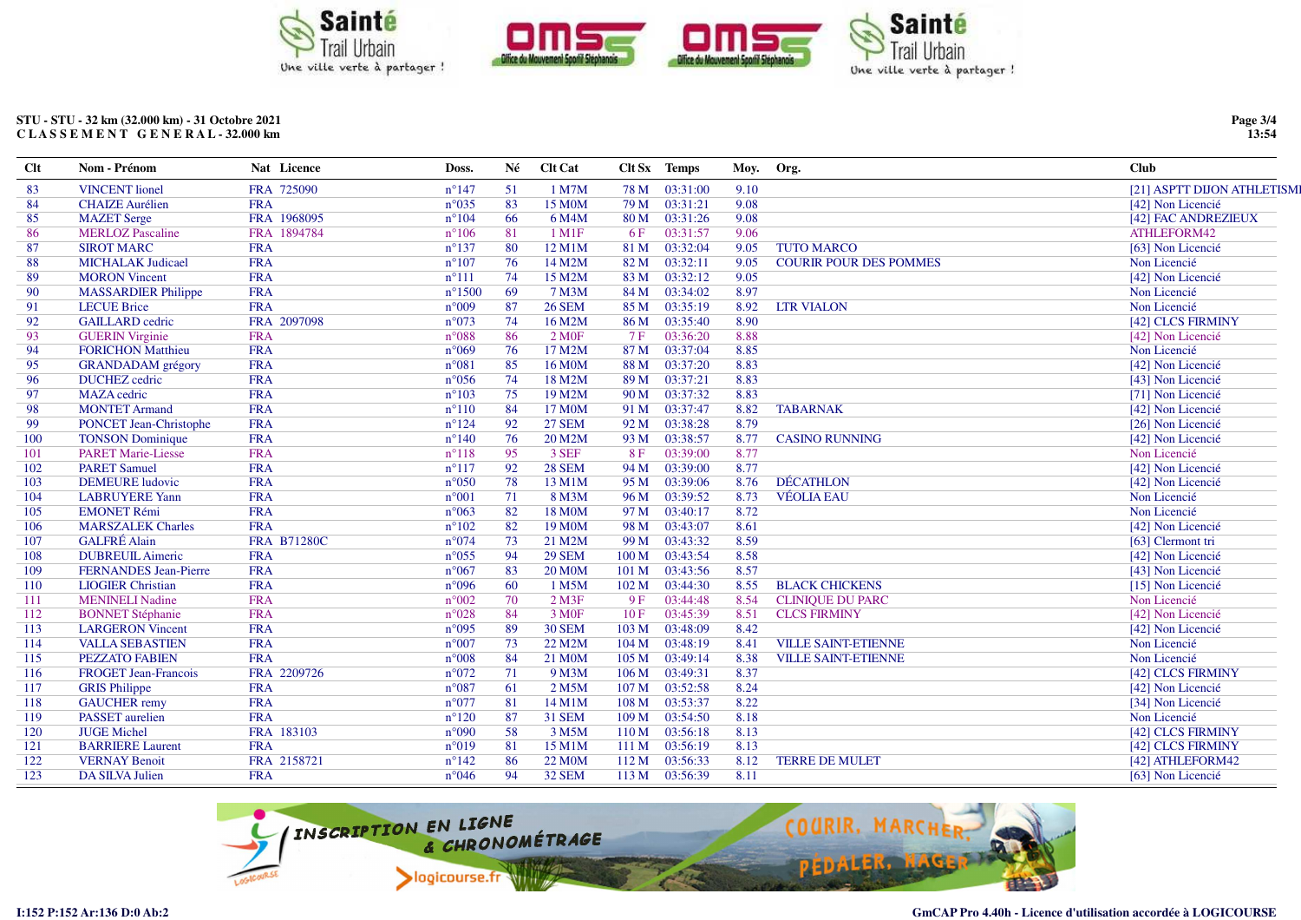

## STU - STU - 32 km (32.000 km) - 31 Octobre 2021 CLASSEMENT GENERAL-32.000 km

| $Cl$ t | Nom - Prénom                  | Nat Licence        | Doss.           | Né | <b>Clt Cat</b>      |                  | Clt Sx Temps | Moy. | Org.                          | Club                       |
|--------|-------------------------------|--------------------|-----------------|----|---------------------|------------------|--------------|------|-------------------------------|----------------------------|
| 83     | <b>VINCENT</b> lionel         | FRA 725090         | $n^{\circ}147$  | 51 | 1 M7M               | 78 M             | 03:31:00     | 9.10 |                               | [21] ASPTT DIJON ATHLETISM |
| 84     | <b>CHAIZE</b> Aurélien        | <b>FRA</b>         | $n^{\circ}035$  | 83 | 15 M0M              | 79 M             | 03:31:21     | 9.08 |                               | [42] Non Licencié          |
| 85     | <b>MAZET</b> Serge            | FRA 1968095        | $n^{\circ}104$  | 66 | 6 M4M               | 80 M             | 03:31:26     | 9.08 |                               | [42] FAC ANDREZIEUX        |
| -86    | <b>MERLOZ</b> Pascaline       | FRA 1894784        | $n^{\circ}106$  | 81 | $1$ M $1$ F         | 6F               | 03:31:57     | 9.06 |                               | ATHLEFORM42                |
| 87     | <b>SIROT MARC</b>             | <b>FRA</b>         | $n^{\circ}137$  | 80 | 12 M1M              | 81 M             | 03:32:04     | 9.05 | <b>TUTO MARCO</b>             | [63] Non Licencié          |
| 88     | <b>MICHALAK Judicael</b>      | <b>FRA</b>         | $n^{\circ}107$  | 76 | 14 M2M              | 82 M             | 03:32:11     | 9.05 | <b>COURIR POUR DES POMMES</b> | Non Licencié               |
| 89     | <b>MORON</b> Vincent          | <b>FRA</b>         | $n^{\circ}111$  | 74 | 15 M2M              | 83 M             | 03:32:12     | 9.05 |                               | [42] Non Licencié          |
| 90     | <b>MASSARDIER Philippe</b>    | <b>FRA</b>         | $n^{\circ}1500$ | 69 | 7 M3M               | 84 M             | 03:34:02     | 8.97 |                               | Non Licencié               |
| 91     | <b>LECUE Brice</b>            | <b>FRA</b>         | $n^{\circ}009$  | 87 | <b>26 SEM</b>       | 85 M             | 03:35:19     | 8.92 | <b>LTR VIALON</b>             | Non Licencié               |
| 92     | <b>GAILLARD</b> cedric        | FRA 2097098        | $n^{\circ}073$  | 74 | 16 M2M              | 86 M             | 03:35:40     | 8.90 |                               | [42] CLCS FIRMINY          |
| 93     | <b>GUERIN Virginie</b>        | <b>FRA</b>         | $n^{\circ}088$  | 86 | 2 MOF               | 7 F              | 03:36:20     | 8.88 |                               | [42] Non Licencié          |
| 94     | <b>FORICHON Matthieu</b>      | <b>FRA</b>         | $n^{\circ}069$  | 76 | 17 M2M              | 87 M             | 03:37:04     | 8.85 |                               | Non Licencié               |
| 95     | <b>GRANDADAM</b> grégory      | <b>FRA</b>         | $n^{\circ}081$  | 85 | 16 M0M              | 88 M             | 03:37:20     | 8.83 |                               | [42] Non Licencié          |
| 96     | <b>DUCHEZ</b> cedric          | <b>FRA</b>         | $n^{\circ}056$  | 74 | 18 M2M              | 89 M             | 03:37:21     | 8.83 |                               | [43] Non Licencié          |
| 97     | <b>MAZA</b> cedric            | <b>FRA</b>         | $n^{\circ}103$  | 75 | 19 M2M              | 90 M             | 03:37:32     | 8.83 |                               | [71] Non Licencié          |
| 98     | <b>MONTET Armand</b>          | <b>FRA</b>         | $n^{\circ}110$  | 84 | 17 M <sub>0</sub> M | 91 M             | 03:37:47     | 8.82 | <b>TABARNAK</b>               | [42] Non Licencié          |
| 99     | <b>PONCET Jean-Christophe</b> | <b>FRA</b>         | $n^{\circ}124$  | 92 | <b>27 SEM</b>       | 92 M             | 03:38:28     | 8.79 |                               | [26] Non Licencié          |
| 100    | <b>TONSON</b> Dominique       | <b>FRA</b>         | $n^{\circ}140$  | 76 | 20 M2M              | 93 M             | 03:38:57     | 8.77 | <b>CASINO RUNNING</b>         | [42] Non Licencié          |
| 101    | <b>PARET Marie-Liesse</b>     | <b>FRA</b>         | $n^{\circ}118$  | 95 | 3 SEF               | 8F               | 03:39:00     | 8.77 |                               | Non Licencié               |
| 102    | <b>PARET Samuel</b>           | <b>FRA</b>         | $n^{\circ}117$  | 92 | <b>28 SEM</b>       | 94 M             | 03:39:00     | 8.77 |                               | [42] Non Licencié          |
| 103    | <b>DEMEURE</b> ludovic        | <b>FRA</b>         | $n^{\circ}050$  | 78 | 13 M1M              | 95 M             | 03:39:06     | 8.76 | <b>DÉCATHLON</b>              | [42] Non Licencié          |
| 104    | <b>LABRUYERE Yann</b>         | <b>FRA</b>         | $n^{\circ}001$  | 71 | 8 M3M               | 96 M             | 03:39:52     | 8.73 | <b>VÉOLIA EAU</b>             | Non Licencié               |
| 105    | <b>EMONET Rémi</b>            | <b>FRA</b>         | $n^{\circ}063$  | 82 | 18 M0M              | 97 M             | 03:40:17     | 8.72 |                               | Non Licencié               |
| 106    | <b>MARSZALEK Charles</b>      | <b>FRA</b>         | $n^{\circ}102$  | 82 | 19 M <sub>0</sub> M | 98 M             | 03:43:07     | 8.61 |                               | [42] Non Licencié          |
| 107    | <b>GALFRÉ</b> Alain           | <b>FRA B71280C</b> | $n^{\circ}074$  | 73 | 21 M2M              | 99 M             | 03:43:32     | 8.59 |                               | [63] Clermont tri          |
| 108    | <b>DUBREUIL Aimeric</b>       | <b>FRA</b>         | $n^{\circ}055$  | 94 | <b>29 SEM</b>       | 100 M            | 03:43:54     | 8.58 |                               | [42] Non Licencié          |
| 109    | <b>FERNANDES</b> Jean-Pierre  | <b>FRA</b>         | $n^{\circ}067$  | 83 | <b>20 M0M</b>       | 101 M            | 03:43:56     | 8.57 |                               | [43] Non Licencié          |
| 110    | <b>LIOGIER Christian</b>      | <b>FRA</b>         | $n^{\circ}096$  | 60 | 1 M5M               | 102 M            | 03:44:30     | 8.55 | <b>BLACK CHICKENS</b>         | [15] Non Licencié          |
| 111    | <b>MENINELI Nadine</b>        | <b>FRA</b>         | $n^{\circ}002$  | 70 | $2$ M3F             | 9F               | 03:44:48     | 8.54 | <b>CLINIQUE DU PARC</b>       | Non Licencié               |
| 112    | <b>BONNET Stéphanie</b>       | <b>FRA</b>         | $n^{\circ}028$  | 84 | 3 M <sub>OF</sub>   | 10F              | 03:45:39     | 8.51 | <b>CLCS FIRMINY</b>           | [42] Non Licencié          |
| 113    | <b>LARGERON</b> Vincent       | <b>FRA</b>         | $n^{\circ}095$  | 89 | <b>30 SEM</b>       | 103 M            | 03:48:09     | 8.42 |                               | [42] Non Licencié          |
| 114    | <b>VALLA SEBASTIEN</b>        | <b>FRA</b>         | $n^{\circ}007$  | 73 | 22 M2M              | 104 M            | 03:48:19     | 8.41 | <b>VILLE SAINT-ETIENNE</b>    | Non Licencié               |
| 115    | <b>PEZZATO FABIEN</b>         | <b>FRA</b>         | $n^{\circ}008$  | 84 | 21 M <sub>0</sub> M | 105 M            | 03:49:14     | 8.38 | <b>VILLE SAINT-ETIENNE</b>    | Non Licencié               |
| 116    | <b>FROGET Jean-Francois</b>   | FRA 2209726        | $n^{\circ}072$  | 71 | 9 M3M               | 106 <sub>M</sub> | 03:49:31     | 8.37 |                               | [42] CLCS FIRMINY          |
| 117    | <b>GRIS</b> Philippe          | <b>FRA</b>         | $n^{\circ}087$  | 61 | 2 M5M               | 107 M            | 03:52:58     | 8.24 |                               | [42] Non Licencié          |
| 118    | <b>GAUCHER</b> remy           | <b>FRA</b>         | $n^{\circ}077$  | 81 | 14 M1M              | 108 M            | 03:53:37     | 8.22 |                               | [34] Non Licencié          |
| 119    | <b>PASSET</b> aurelien        | <b>FRA</b>         | $n^{\circ}120$  | 87 | <b>31 SEM</b>       | 109 M            | 03:54:50     | 8.18 |                               | Non Licencié               |
| 120    | <b>JUGE Michel</b>            | FRA 183103         | $n^{\circ}090$  | 58 | 3 M5M               | 110 M            | 03:56:18     | 8.13 |                               | [42] CLCS FIRMINY          |
| 121    | <b>BARRIERE</b> Laurent       | <b>FRA</b>         | $n^{\circ}019$  | 81 | 15 M1M              | 111 M            | 03:56:19     | 8.13 |                               | [42] CLCS FIRMINY          |
| 122    | <b>VERNAY Benoit</b>          | FRA 2158721        | $n^{\circ}142$  | 86 | 22 M <sub>0</sub> M | 112 M            | 03:56:33     | 8.12 | <b>TERRE DE MULET</b>         | [42] ATHLEFORM42           |
| 123    | <b>DA SILVA Julien</b>        | <b>FRA</b>         | $n^{\circ}046$  | 94 | <b>32 SEM</b>       | 113 M            | 03:56:39     | 8.11 |                               | [63] Non Licencié          |
|        |                               |                    |                 |    |                     |                  |              |      |                               |                            |



Page 3/4<br>13:54